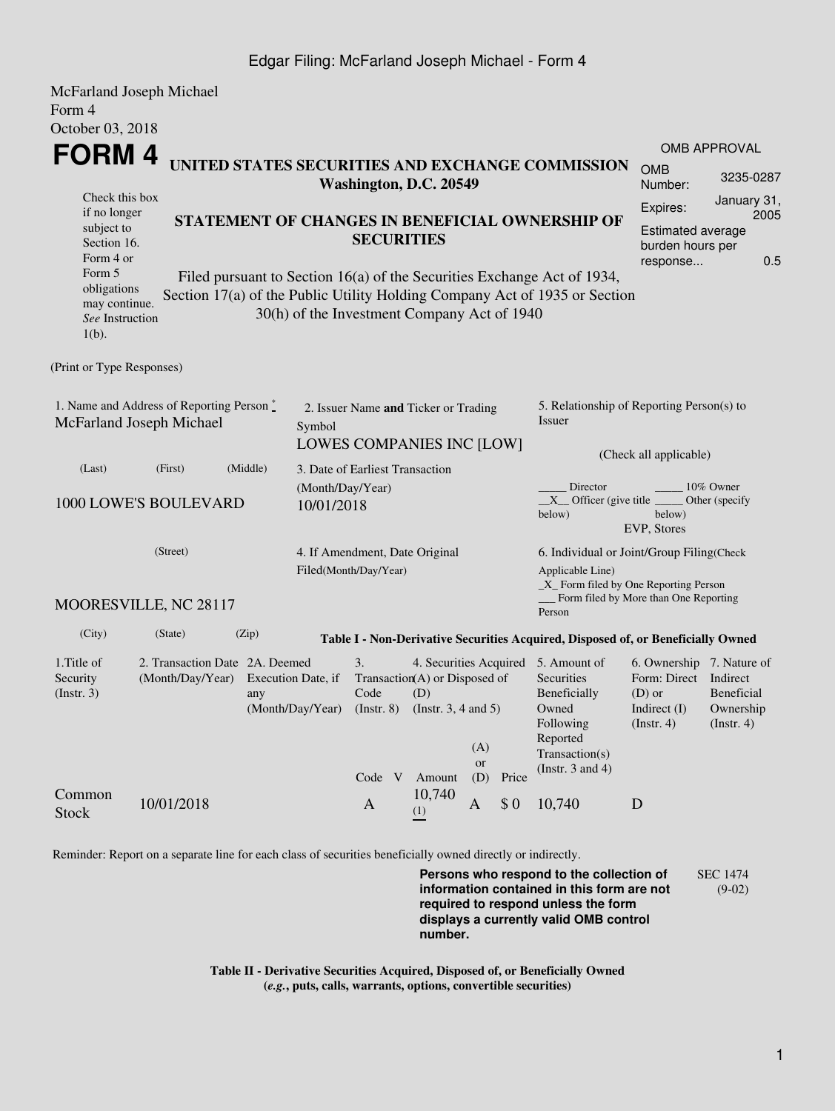## Edgar Filing: McFarland Joseph Michael - Form 4

|                                                                                | McFarland Joseph Michael                        |                                                                         |                                                                   |                                      |                                |              |                   |                                                                                  |                                       |                     |  |
|--------------------------------------------------------------------------------|-------------------------------------------------|-------------------------------------------------------------------------|-------------------------------------------------------------------|--------------------------------------|--------------------------------|--------------|-------------------|----------------------------------------------------------------------------------|---------------------------------------|---------------------|--|
| Form 4                                                                         |                                                 |                                                                         |                                                                   |                                      |                                |              |                   |                                                                                  |                                       |                     |  |
| October 03, 2018                                                               |                                                 |                                                                         |                                                                   |                                      |                                |              |                   |                                                                                  |                                       |                     |  |
| FORM 4                                                                         |                                                 |                                                                         |                                                                   |                                      |                                |              |                   | UNITED STATES SECURITIES AND EXCHANGE COMMISSION                                 |                                       | OMB APPROVAL        |  |
|                                                                                |                                                 |                                                                         |                                                                   |                                      | Washington, D.C. 20549         |              |                   |                                                                                  | <b>OMB</b><br>Number:                 | 3235-0287           |  |
| Check this box<br>if no longer                                                 |                                                 |                                                                         |                                                                   |                                      |                                |              |                   |                                                                                  | Expires:                              | January 31,<br>2005 |  |
| subject to                                                                     | STATEMENT OF CHANGES IN BENEFICIAL OWNERSHIP OF |                                                                         |                                                                   |                                      |                                |              |                   | Estimated average                                                                |                                       |                     |  |
| Section 16.                                                                    |                                                 | <b>SECURITIES</b>                                                       |                                                                   |                                      |                                |              |                   |                                                                                  |                                       | burden hours per    |  |
| Form 4 or<br>Form 5                                                            |                                                 | Filed pursuant to Section 16(a) of the Securities Exchange Act of 1934, |                                                                   |                                      |                                |              |                   |                                                                                  |                                       | 0.5<br>response     |  |
| obligations                                                                    |                                                 |                                                                         |                                                                   |                                      |                                |              |                   |                                                                                  |                                       |                     |  |
| may continue.                                                                  |                                                 |                                                                         | 30(h) of the Investment Company Act of 1940                       |                                      |                                |              |                   | Section 17(a) of the Public Utility Holding Company Act of 1935 or Section       |                                       |                     |  |
| See Instruction<br>$1(b)$ .                                                    |                                                 |                                                                         |                                                                   |                                      |                                |              |                   |                                                                                  |                                       |                     |  |
|                                                                                |                                                 |                                                                         |                                                                   |                                      |                                |              |                   |                                                                                  |                                       |                     |  |
| (Print or Type Responses)                                                      |                                                 |                                                                         |                                                                   |                                      |                                |              |                   |                                                                                  |                                       |                     |  |
|                                                                                |                                                 |                                                                         |                                                                   |                                      |                                |              |                   |                                                                                  |                                       |                     |  |
| 1. Name and Address of Reporting Person*<br>McFarland Joseph Michael<br>Symbol |                                                 |                                                                         |                                                                   | 2. Issuer Name and Ticker or Trading |                                |              |                   | 5. Relationship of Reporting Person(s) to<br>Issuer                              |                                       |                     |  |
|                                                                                |                                                 | LOWES COMPANIES INC [LOW]                                               |                                                                   |                                      |                                |              |                   |                                                                                  |                                       |                     |  |
| (Middle)<br>(Last)<br>(First)                                                  |                                                 |                                                                         |                                                                   | 3. Date of Earliest Transaction      |                                |              |                   |                                                                                  | (Check all applicable)                |                     |  |
|                                                                                |                                                 |                                                                         |                                                                   | (Month/Day/Year)                     |                                |              |                   | Director                                                                         |                                       | 10% Owner           |  |
|                                                                                | 1000 LOWE'S BOULEVARD                           |                                                                         | 10/01/2018                                                        |                                      |                                |              |                   | $X$ Officer (give title                                                          |                                       | Other (specify      |  |
|                                                                                |                                                 |                                                                         |                                                                   |                                      |                                |              |                   | below)                                                                           | below)<br>EVP, Stores                 |                     |  |
|                                                                                |                                                 |                                                                         |                                                                   |                                      |                                |              |                   |                                                                                  |                                       |                     |  |
| (Street)                                                                       |                                                 |                                                                         |                                                                   | Filed(Month/Day/Year)                | 4. If Amendment, Date Original |              |                   | 6. Individual or Joint/Group Filing(Check<br>Applicable Line)                    |                                       |                     |  |
|                                                                                |                                                 |                                                                         |                                                                   |                                      |                                |              |                   | $\_X$ Form filed by One Reporting Person                                         |                                       |                     |  |
|                                                                                | MOORESVILLE, NC 28117                           |                                                                         |                                                                   |                                      |                                |              |                   | Person                                                                           | Form filed by More than One Reporting |                     |  |
| (City)                                                                         | (State)                                         | (Zip)                                                                   |                                                                   |                                      |                                |              |                   | Table I - Non-Derivative Securities Acquired, Disposed of, or Beneficially Owned |                                       |                     |  |
| 1. Title of                                                                    | 2. Transaction Date 2A. Deemed                  |                                                                         |                                                                   | 3.                                   |                                |              |                   | 4. Securities Acquired 5. Amount of                                              | 6. Ownership 7. Nature of             |                     |  |
| Security                                                                       | (Month/Day/Year)                                |                                                                         | Execution Date, if                                                |                                      | Transaction(A) or Disposed of  |              | <b>Securities</b> | Form: Direct<br>$(D)$ or                                                         | Indirect                              |                     |  |
| (Insert. 3)                                                                    |                                                 | any                                                                     | Code<br>(D)<br>(Month/Day/Year)<br>(Instr. 8) (Instr. 3, 4 and 5) |                                      |                                |              |                   | Beneficially<br>Owned                                                            | <b>Beneficial</b><br>Ownership        |                     |  |
|                                                                                |                                                 |                                                                         |                                                                   |                                      |                                |              |                   | Following                                                                        | Indirect $(I)$<br>(Insert. 4)         | $($ Instr. 4 $)$    |  |
|                                                                                |                                                 |                                                                         |                                                                   |                                      |                                | (A)          |                   | Reported                                                                         |                                       |                     |  |
|                                                                                |                                                 |                                                                         |                                                                   |                                      |                                | <b>or</b>    |                   | Transaction(s)<br>(Instr. $3$ and $4$ )                                          |                                       |                     |  |
|                                                                                |                                                 |                                                                         |                                                                   | Code V                               | Amount                         | (D)          | Price             |                                                                                  |                                       |                     |  |
| Common<br><b>Stock</b>                                                         | 10/01/2018                                      |                                                                         |                                                                   | $\mathbf{A}$                         | 10,740<br>(1)                  | $\mathbf{A}$ | \$0               | 10,740                                                                           | D                                     |                     |  |

Reminder: Report on a separate line for each class of securities beneficially owned directly or indirectly.

**Persons who respond to the collection of information contained in this form are not required to respond unless the form displays a currently valid OMB control number.** SEC 1474 (9-02)

**Table II - Derivative Securities Acquired, Disposed of, or Beneficially Owned (***e.g.***, puts, calls, warrants, options, convertible securities)**